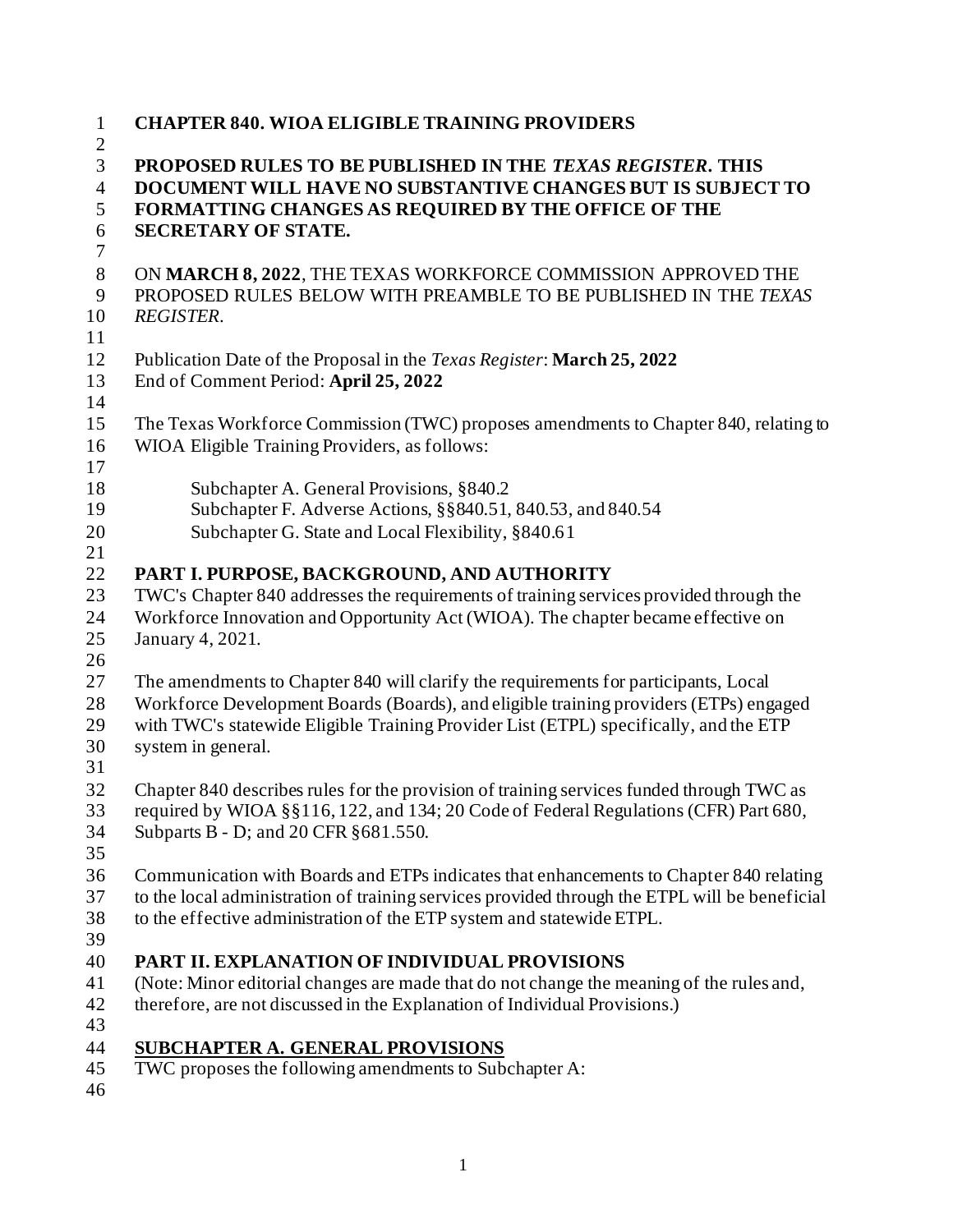| $\mathbf{1}$<br>$\overline{2}$ | <b>CHAPTER 840. WIOA ELIGIBLE TRAINING PROVIDERS</b>                                                                             |
|--------------------------------|----------------------------------------------------------------------------------------------------------------------------------|
| 3<br>$\overline{4}$            | PROPOSED RULES TO BE PUBLISHED IN THE TEXAS REGISTER. THIS<br>DOCUMENT WILL HAVE NO SUBSTANTIVE CHANGES BUT IS SUBJECT TO        |
| 5                              | FORMATTING CHANGES AS REQUIRED BY THE OFFICE OF THE                                                                              |
| 6                              | <b>SECRETARY OF STATE.</b>                                                                                                       |
| $\tau$                         |                                                                                                                                  |
| $8\,$<br>9                     | ON MARCH 8, 2022, THE TEXAS WORKFORCE COMMISSION APPROVED THE<br>PROPOSED RULES BELOW WITH PREAMBLE TO BE PUBLISHED IN THE TEXAS |
| 10                             | <b>REGISTER.</b>                                                                                                                 |
| 11                             |                                                                                                                                  |
| 12                             | Publication Date of the Proposal in the Texas Register: March 25, 2022                                                           |
| 13                             | End of Comment Period: April 25, 2022                                                                                            |
| 14                             |                                                                                                                                  |
| 15                             | The Texas Workforce Commission (TWC) proposes amendments to Chapter 840, relating to                                             |
| 16                             | WIOA Eligible Training Providers, as follows:                                                                                    |
| 17                             |                                                                                                                                  |
| 18                             | Subchapter A. General Provisions, §840.2                                                                                         |
| 19                             | Subchapter F. Adverse Actions, §§840.51, 840.53, and 840.54                                                                      |
| 20                             | Subchapter G. State and Local Flexibility, §840.61                                                                               |
| 21                             |                                                                                                                                  |
| 22                             | PART I. PURPOSE, BACKGROUND, AND AUTHORITY                                                                                       |
| 23                             | TWC's Chapter 840 addresses the requirements of training services provided through the                                           |
| 24                             | Workforce Innovation and Opportunity Act (WIOA). The chapter became effective on                                                 |
| 25                             | January 4, 2021.                                                                                                                 |
| 26                             |                                                                                                                                  |
| 27                             | The amendments to Chapter 840 will clarify the requirements for participants, Local                                              |
| 28                             | Workforce Development Boards (Boards), and eligible training providers (ETPs) engaged                                            |
| 29                             | with TWC's statewide Eligible Training Provider List (ETPL) specifically, and the ETP                                            |
| 30                             | system in general.                                                                                                               |
| 31                             |                                                                                                                                  |
| 32                             | Chapter 840 describes rules for the provision of training services funded through TWC as                                         |
| 33                             | required by WIOA §§116, 122, and 134; 20 Code of Federal Regulations (CFR) Part 680,                                             |
| 34                             | Subparts B - D; and 20 CFR § 681.550.                                                                                            |
| 35                             |                                                                                                                                  |
| 36                             | Communication with Boards and ETPs indicates that enhancements to Chapter 840 relating                                           |
| 37                             | to the local administration of training services provided through the ETPL will be beneficial                                    |
| 38                             | to the effective administration of the ETP system and statewide ETPL.                                                            |
| 39                             |                                                                                                                                  |
| 40                             | PART II. EXPLANATION OF INDIVIDUAL PROVISIONS                                                                                    |
| 41                             | (Note: Minor editorial changes are made that do not change the meaning of the rules and,                                         |
| 42                             | therefore, are not discussed in the Explanation of Individual Provisions.)                                                       |
| 43                             |                                                                                                                                  |
| 44                             | <b>SUBCHAPTER A. GENERAL PROVISIONS</b>                                                                                          |
| 45                             | TWC proposes the following amendments to Subchapter A:                                                                           |
| 46                             |                                                                                                                                  |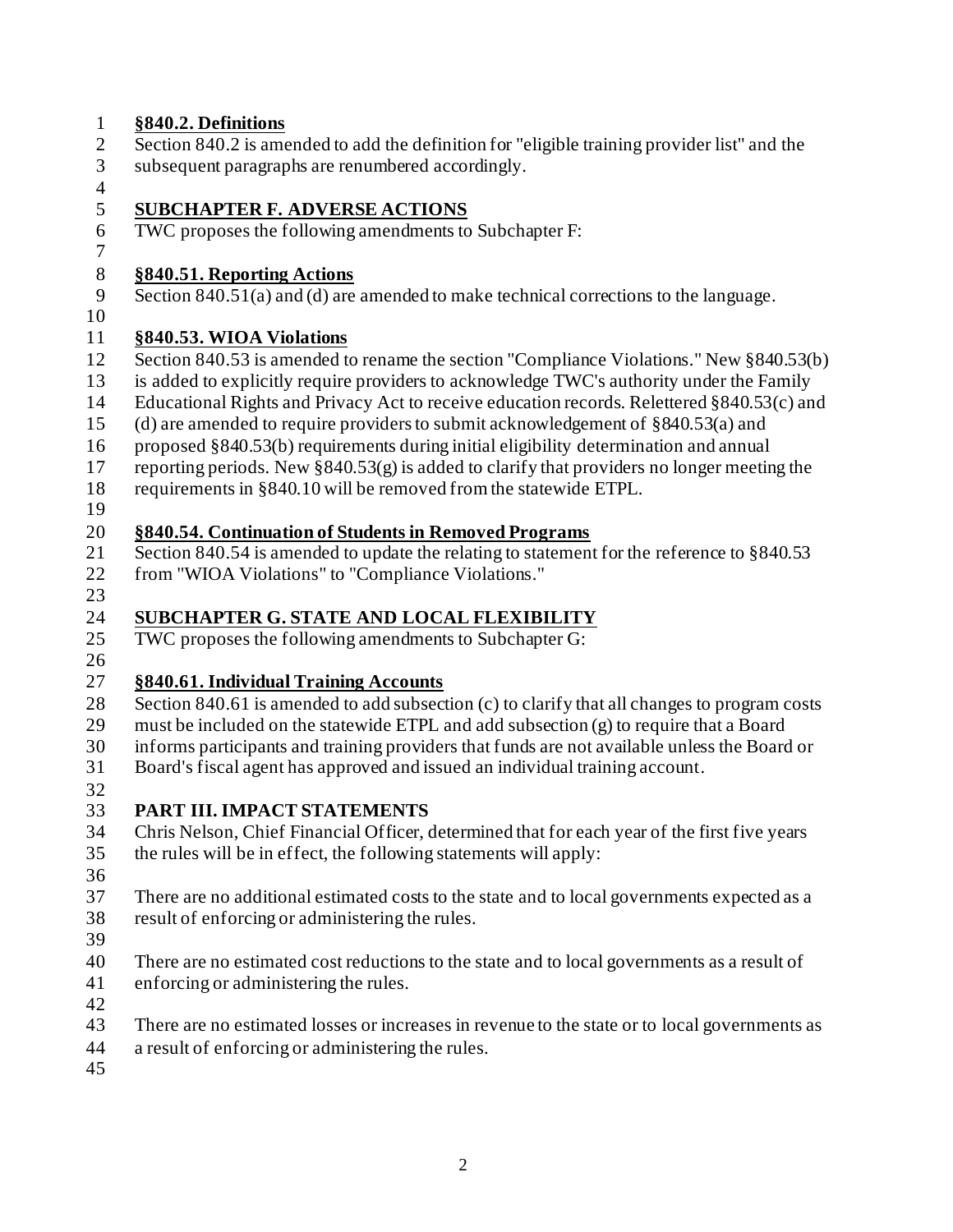## **§840.2. Definitions** Section 840.2 is amended to add the definition for "eligible training provider list" and the subsequent paragraphs are renumbered accordingly. **SUBCHAPTER F. ADVERSE ACTIONS** TWC proposes the following amendments to Subchapter F: **§840.51. Reporting Actions** Section 840.51(a) and (d) are amended to make technical corrections to the language. **§840.53. WIOA Violations** Section 840.53 is amended to rename the section "Compliance Violations." New §840.53(b) is added to explicitly require providers to acknowledge TWC's authority under the Family Educational Rights and Privacy Act to receive education records. Relettered §840.53(c) and (d) are amended to require providers to submit acknowledgement of §840.53(a) and proposed §840.53(b) requirements during initial eligibility determination and annual reporting periods. New §840.53(g) is added to clarify that providers no longer meeting the requirements in §840.10 will be removed from the statewide ETPL. **§840.54. Continuation of Students in Removed Programs** Section 840.54 is amended to update the relating to statement for the reference to §840.53 from "WIOA Violations" to "Compliance Violations." **SUBCHAPTER G. STATE AND LOCAL FLEXIBILITY** TWC proposes the following amendments to Subchapter G: **§840.61. Individual Training Accounts** 28 Section 840.61 is amended to add subsection (c) to clarify that all changes to program costs must be included on the statewide ETPL and add subsection (g) to require that a Board informs participants and training providers that funds are not available unless the Board or Board's fiscal agent has approved and issued an individual training account. **PART III. IMPACT STATEMENTS** Chris Nelson, Chief Financial Officer, determined that for each year of the first five years the rules will be in effect, the following statements will apply: There are no additional estimated costs to the state and to local governments expected as a result of enforcing or administering the rules. There are no estimated cost reductions to the state and to local governments as a result of enforcing or administering the rules. There are no estimated losses or increases in revenue to the state or to local governments as a result of enforcing or administering the rules.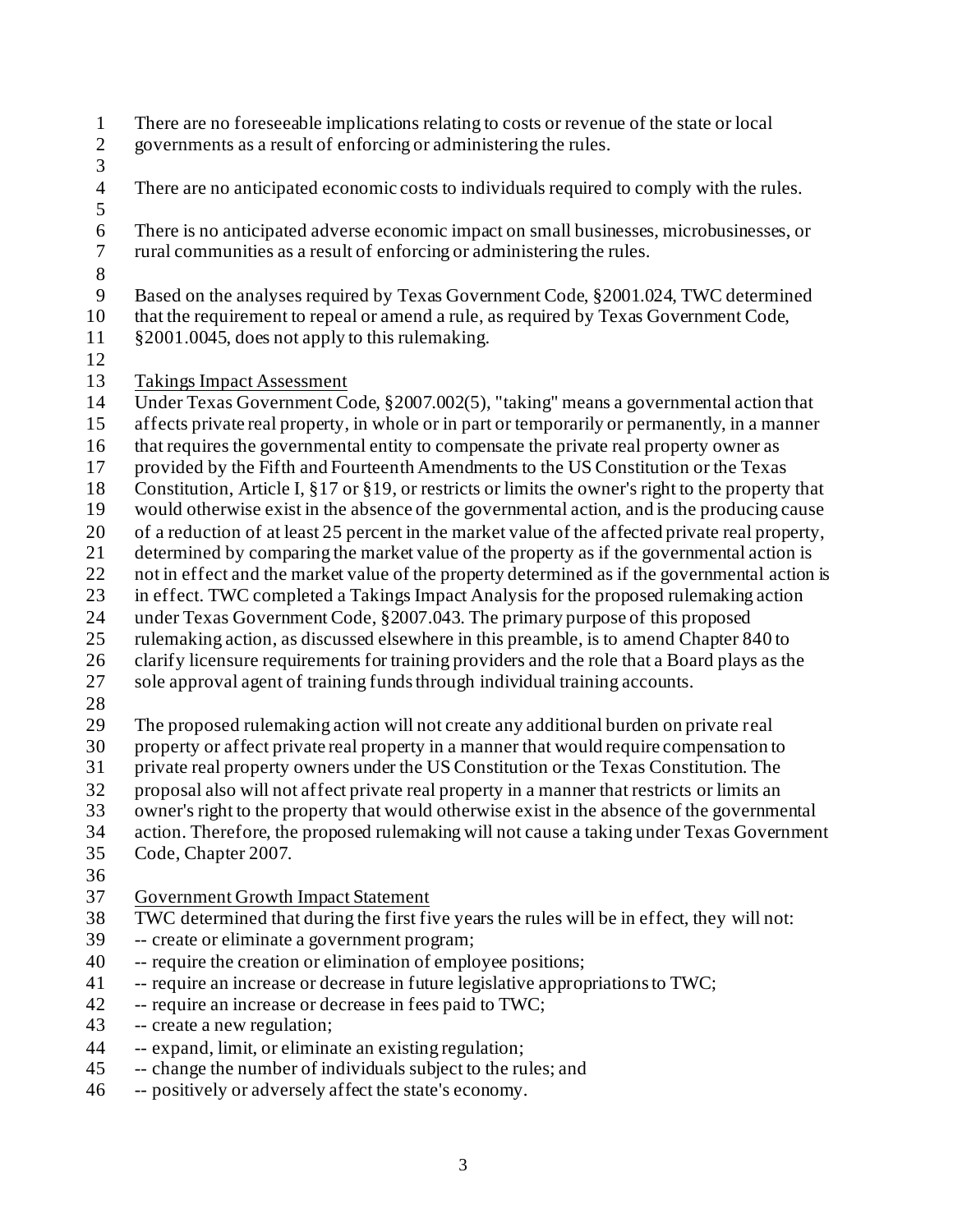- There are no foreseeable implications relating to costs or revenue of the state or local governments as a result of enforcing or administering the rules.
- 
- There are no anticipated economic costs to individuals required to comply with the rules.
- 

There is no anticipated adverse economic impact on small businesses, microbusinesses, or

- rural communities as a result of enforcing or administering the rules.
- 

Based on the analyses required by Texas Government Code, §2001.024, TWC determined

that the requirement to repeal or amend a rule, as required by Texas Government Code,

- 11 §2001.0045, does not apply to this rulemaking.
- 

Takings Impact Assessment

Under Texas Government Code, §2007.002(5), "taking" means a governmental action that

affects private real property, in whole or in part or temporarily or permanently, in a manner

- that requires the governmental entity to compensate the private real property owner as
- provided by the Fifth and Fourteenth Amendments to the US Constitution or the Texas
- Constitution, Article I, §17 or §19, or restricts or limits the owner's right to the property that
- would otherwise exist in the absence of the governmental action, and is the producing cause
- of a reduction of at least 25 percent in the market value of the affected private real property,
- determined by comparing the market value of the property as if the governmental action is
- 22 not in effect and the market value of the property determined as if the governmental action is
- in effect. TWC completed a Takings Impact Analysis for the proposed rulemaking action
- under Texas Government Code, §2007.043. The primary purpose of this proposed
- rulemaking action, as discussed elsewhere in this preamble, is to amend Chapter 840 to
- clarify licensure requirements for training providers and the role that a Board plays as the
- sole approval agent of training funds through individual training accounts.
- 

The proposed rulemaking action will not create any additional burden on private real

- property or affect private real property in a manner that would require compensation to
- private real property owners under the US Constitution or the Texas Constitution. The
- proposal also will not affect private real property in a manner that restricts or limits an
- owner's right to the property that would otherwise exist in the absence of the governmental
- action. Therefore, the proposed rulemaking will not cause a taking under Texas Government
- Code, Chapter 2007.
- 

# Government Growth Impact Statement

- TWC determined that during the first five years the rules will be in effect, they will not:
- -- create or eliminate a government program;
- -- require the creation or elimination of employee positions;
- -- require an increase or decrease in future legislative appropriations to TWC;
- -- require an increase or decrease in fees paid to TWC;
- -- create a new regulation;
- -- expand, limit, or eliminate an existing regulation;
- -- change the number of individuals subject to the rules; and
- -- positively or adversely affect the state's economy.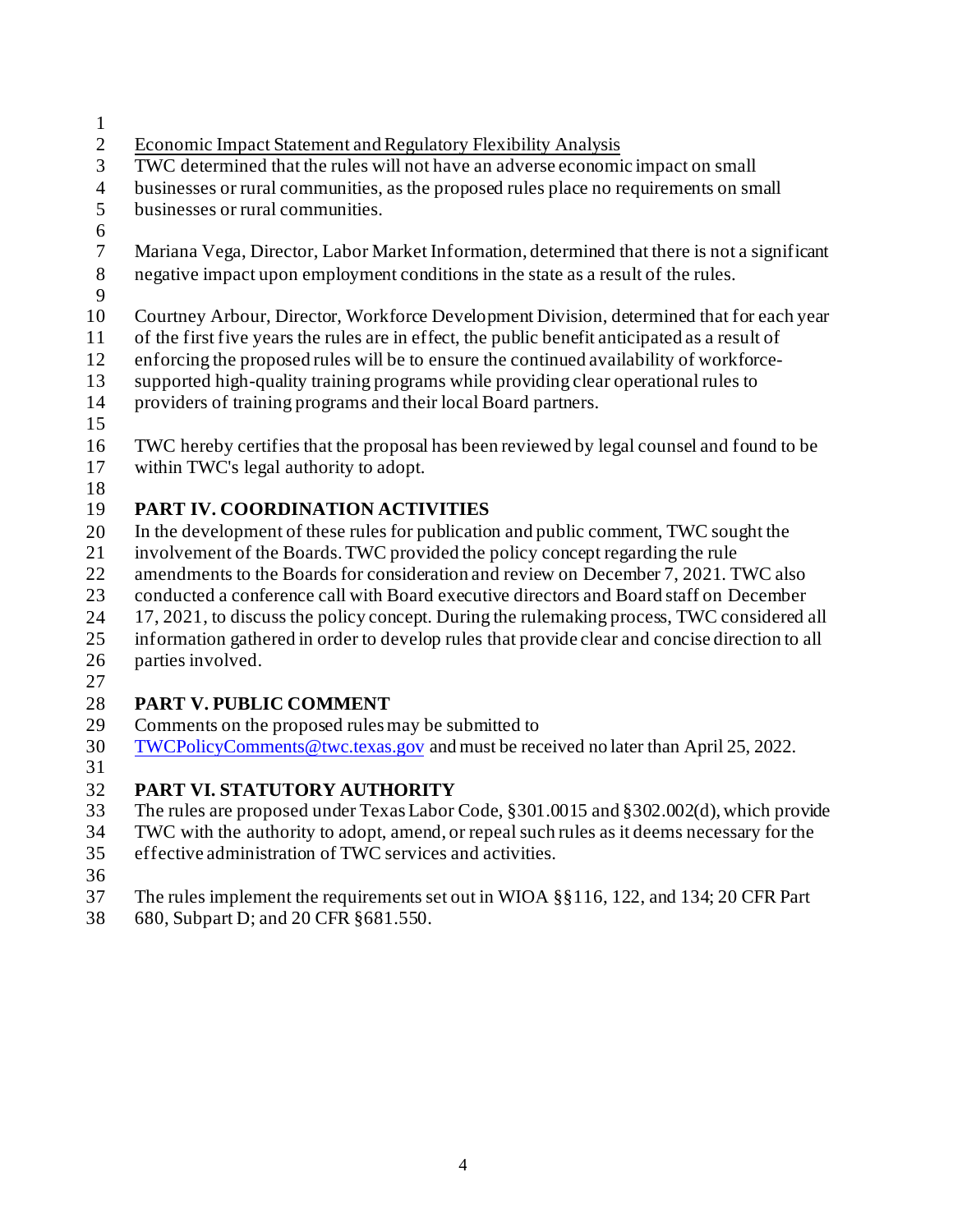- 1
- 2 Economic Impact Statement and Regulatory Flexibility Analysis
- 3 TWC determined that the rules will not have an adverse economic impact on small
- 4 businesses or rural communities, as the proposed rules place no requirements on small
- 5 businesses or rural communities.
- 6
- 7 8 Mariana Vega, Director, Labor Market Information, determined that there is not a significant negative impact upon employment conditions in the state as a result of the rules.
- 9
- 10 Courtney Arbour, Director, Workforce Development Division, determined that for each year
- 11 of the first five years the rules are in effect, the public benefit anticipated as a result of
- 12 enforcing the proposed rules will be to ensure the continued availability of workforce-
- 13 supported high-quality training programs while providing clear operational rules to
- 14 providers of training programs and their local Board partners.
- 15
- 16 17 TWC hereby certifies that the proposal has been reviewed by legal counsel and found to be within TWC's legal authority to adopt.
- 18

### 19 **PART IV. COORDINATION ACTIVITIES**

- 20 In the development of these rules for publication and public comment, TWC sought the
- 21 involvement of the Boards. TWC provided the policy concept regarding the rule
- 22 amendments to the Boards for consideration and review on December 7, 2021. TWC also
- 23 conducted a conference call with Board executive directors and Board staff on December
- 24 17, 2021, to discuss the policy concept. During the rulemaking process, TWC considered all
- 25 information gathered in order to develop rules that provide clear and concise direction to all
- 26 parties involved.
- 27

### 28 **PART V. PUBLIC COMMENT**

- 29 Comments on the proposed rules may be submitted to
- 30 [TWCPolicyComments@twc.texas.gov](mailto:TWCPolicyComments@twc.texas.gov) and must be received no later than April 25, 2022.
- 31

### 32 **PART VI. STATUTORY AUTHORITY**

- 33 The rules are proposed under Texas Labor Code, §301.0015 and §302.002(d), which provide
- 34 TWC with the authority to adopt, amend, or repeal such rules as it deems necessary for the
- 35 effective administration of TWC services and activities.
- 36
- 37 The rules implement the requirements set out in WIOA §§116, 122, and 134; 20 CFR Part
- 38 680, Subpart D; and 20 CFR §681.550.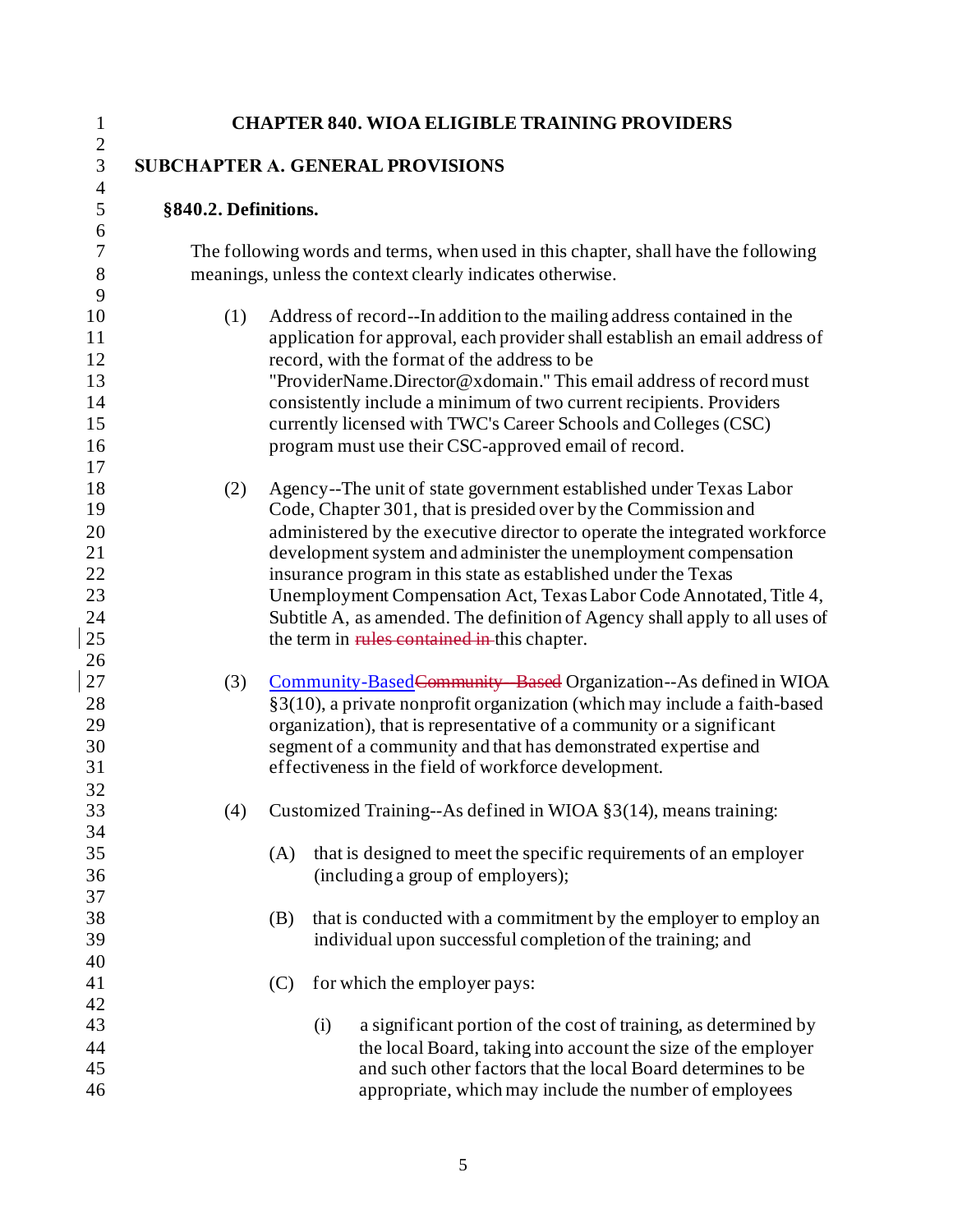| 1                                                 |                                                                                                                                                 |     | <b>CHAPTER 840. WIOA ELIGIBLE TRAINING PROVIDERS</b>                                                                                                                                                                                                                                                                                                                                                                                                                                                                                                          |  |
|---------------------------------------------------|-------------------------------------------------------------------------------------------------------------------------------------------------|-----|---------------------------------------------------------------------------------------------------------------------------------------------------------------------------------------------------------------------------------------------------------------------------------------------------------------------------------------------------------------------------------------------------------------------------------------------------------------------------------------------------------------------------------------------------------------|--|
| $\boldsymbol{2}$<br>3                             | <b>SUBCHAPTER A. GENERAL PROVISIONS</b>                                                                                                         |     |                                                                                                                                                                                                                                                                                                                                                                                                                                                                                                                                                               |  |
| $\overline{4}$<br>5                               | §840.2. Definitions.                                                                                                                            |     |                                                                                                                                                                                                                                                                                                                                                                                                                                                                                                                                                               |  |
| 6<br>7<br>8                                       | The following words and terms, when used in this chapter, shall have the following<br>meanings, unless the context clearly indicates otherwise. |     |                                                                                                                                                                                                                                                                                                                                                                                                                                                                                                                                                               |  |
| 9<br>10<br>11<br>12<br>13<br>14<br>15<br>16<br>17 | (1)                                                                                                                                             |     | Address of record--In addition to the mailing address contained in the<br>application for approval, each provider shall establish an email address of<br>record, with the format of the address to be<br>"ProviderName.Director@xdomain." This email address of record must<br>consistently include a minimum of two current recipients. Providers<br>currently licensed with TWC's Career Schools and Colleges (CSC)<br>program must use their CSC-approved email of record.                                                                                 |  |
| 18<br>19<br>20<br>21<br>22<br>23<br>24<br>25      | (2)                                                                                                                                             |     | Agency--The unit of state government established under Texas Labor<br>Code, Chapter 301, that is presided over by the Commission and<br>administered by the executive director to operate the integrated workforce<br>development system and administer the unemployment compensation<br>insurance program in this state as established under the Texas<br>Unemployment Compensation Act, Texas Labor Code Annotated, Title 4,<br>Subtitle A, as amended. The definition of Agency shall apply to all uses of<br>the term in rules contained in this chapter. |  |
| 26<br>27<br>28<br>29<br>30<br>31<br>32            | (3)                                                                                                                                             |     | Community-Based Community Based Organization--As defined in WIOA<br>§3(10), a private nonprofit organization (which may include a faith-based<br>organization), that is representative of a community or a significant<br>segment of a community and that has demonstrated expertise and<br>effectiveness in the field of workforce development.                                                                                                                                                                                                              |  |
| 33<br>34<br>35<br>36<br>37                        | (4)                                                                                                                                             | (A) | Customized Training--As defined in WIOA §3(14), means training:<br>that is designed to meet the specific requirements of an employer<br>(including a group of employers);                                                                                                                                                                                                                                                                                                                                                                                     |  |
| 38<br>39<br>40                                    |                                                                                                                                                 | (B) | that is conducted with a commitment by the employer to employ an<br>individual upon successful completion of the training; and                                                                                                                                                                                                                                                                                                                                                                                                                                |  |
| 41<br>42<br>43<br>44<br>45<br>46                  |                                                                                                                                                 | (C) | for which the employer pays:<br>a significant portion of the cost of training, as determined by<br>(i)<br>the local Board, taking into account the size of the employer<br>and such other factors that the local Board determines to be<br>appropriate, which may include the number of employees                                                                                                                                                                                                                                                             |  |

 $\mathsf I$ 

 $\begin{array}{c} \hline \end{array}$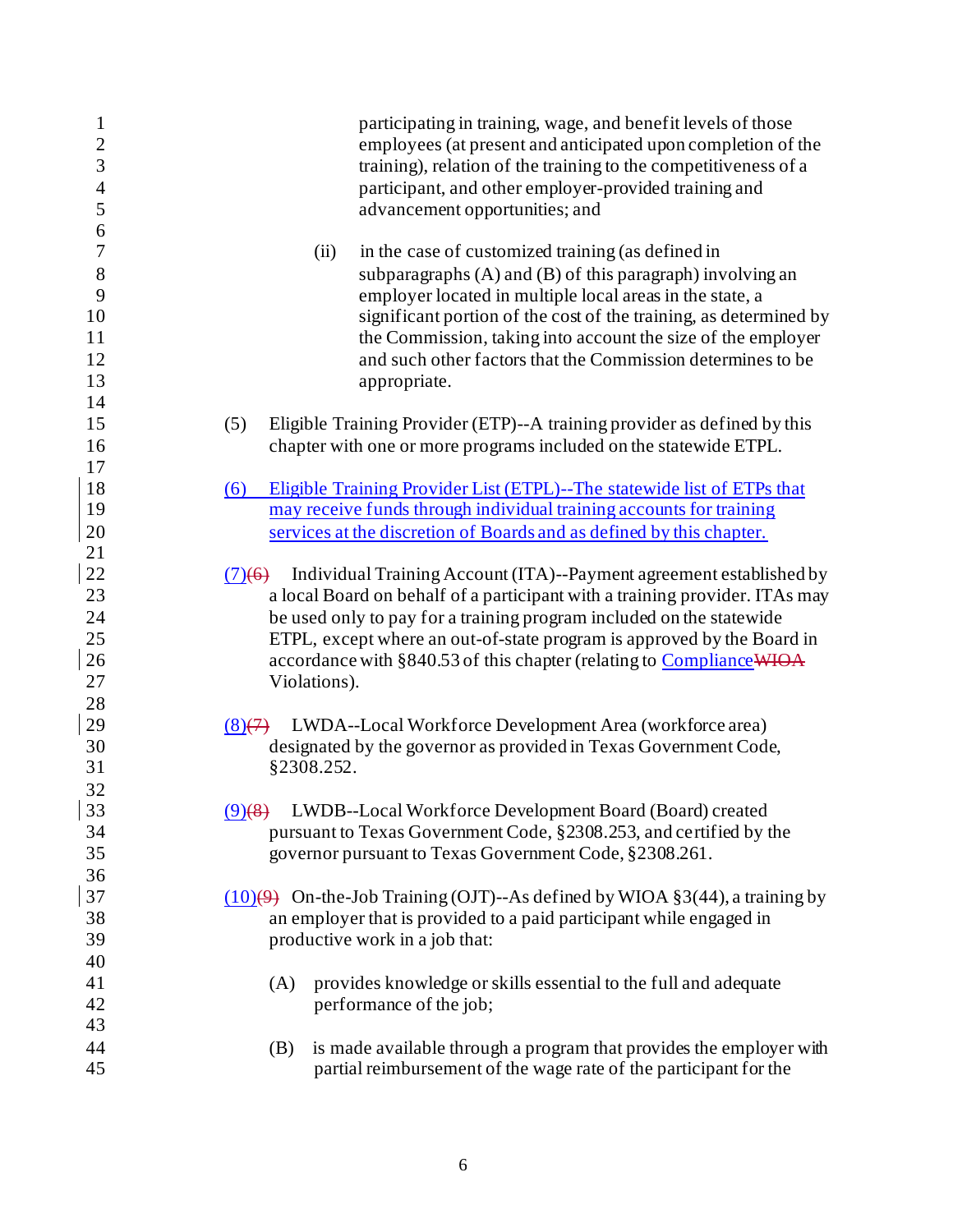| $\mathbf{1}$<br>$\overline{c}$ | participating in training, wage, and benefit levels of those<br>employees (at present and anticipated upon completion of the                   |
|--------------------------------|------------------------------------------------------------------------------------------------------------------------------------------------|
| 3                              | training), relation of the training to the competitiveness of a                                                                                |
| $\overline{4}$                 | participant, and other employer-provided training and                                                                                          |
| 5                              | advancement opportunities; and                                                                                                                 |
| 6                              |                                                                                                                                                |
| 7                              | in the case of customized training (as defined in<br>(ii)                                                                                      |
| 8                              | subparagraphs $(A)$ and $(B)$ of this paragraph) involving an                                                                                  |
| 9                              | employer located in multiple local areas in the state, a                                                                                       |
| 10                             | significant portion of the cost of the training, as determined by                                                                              |
| 11                             | the Commission, taking into account the size of the employer                                                                                   |
| 12                             | and such other factors that the Commission determines to be                                                                                    |
| 13                             | appropriate.                                                                                                                                   |
| 14<br>15                       |                                                                                                                                                |
|                                | Eligible Training Provider (ETP)--A training provider as defined by this<br>(5)                                                                |
| 16<br>17                       | chapter with one or more programs included on the statewide ETPL.                                                                              |
| 18                             | (6)                                                                                                                                            |
| 19                             | Eligible Training Provider List (ETPL)--The statewide list of ETPs that<br>may receive funds through individual training accounts for training |
| 20                             | services at the discretion of Boards and as defined by this chapter.                                                                           |
| 21                             |                                                                                                                                                |
| 22                             | $(7)(6)$ Individual Training Account (ITA)--Payment agreement established by                                                                   |
| 23                             | a local Board on behalf of a participant with a training provider. ITAs may                                                                    |
| 24                             | be used only to pay for a training program included on the statewide                                                                           |
| 25                             | ETPL, except where an out-of-state program is approved by the Board in                                                                         |
| 26                             | accordance with §840.53 of this chapter (relating to Compliance WIOA                                                                           |
| 27                             | Violations).                                                                                                                                   |
| 28                             |                                                                                                                                                |
| 29                             | LWDA--Local Workforce Development Area (workforce area)<br>$(8)$ (7)                                                                           |
| 30                             | designated by the governor as provided in Texas Government Code,                                                                               |
| 31                             | §2308.252.                                                                                                                                     |
| 32                             |                                                                                                                                                |
| 33                             | (9)(8) LWDB--Local Workforce Development Board (Board) created                                                                                 |
| 34                             | pursuant to Texas Government Code, §2308.253, and certified by the                                                                             |
| 35                             | governor pursuant to Texas Government Code, §2308.261.                                                                                         |
| 36                             |                                                                                                                                                |
| 37                             | $(10)(9)$ On-the-Job Training (OJT)--As defined by WIOA §3(44), a training by                                                                  |
| 38                             | an employer that is provided to a paid participant while engaged in                                                                            |
| 39                             | productive work in a job that:                                                                                                                 |
| 40                             |                                                                                                                                                |
| 41                             | provides knowledge or skills essential to the full and adequate<br>(A)                                                                         |
| 42                             | performance of the job;                                                                                                                        |
| 43                             |                                                                                                                                                |
| 44                             | is made available through a program that provides the employer with<br>(B)                                                                     |
| 45                             | partial reimbursement of the wage rate of the participant for the                                                                              |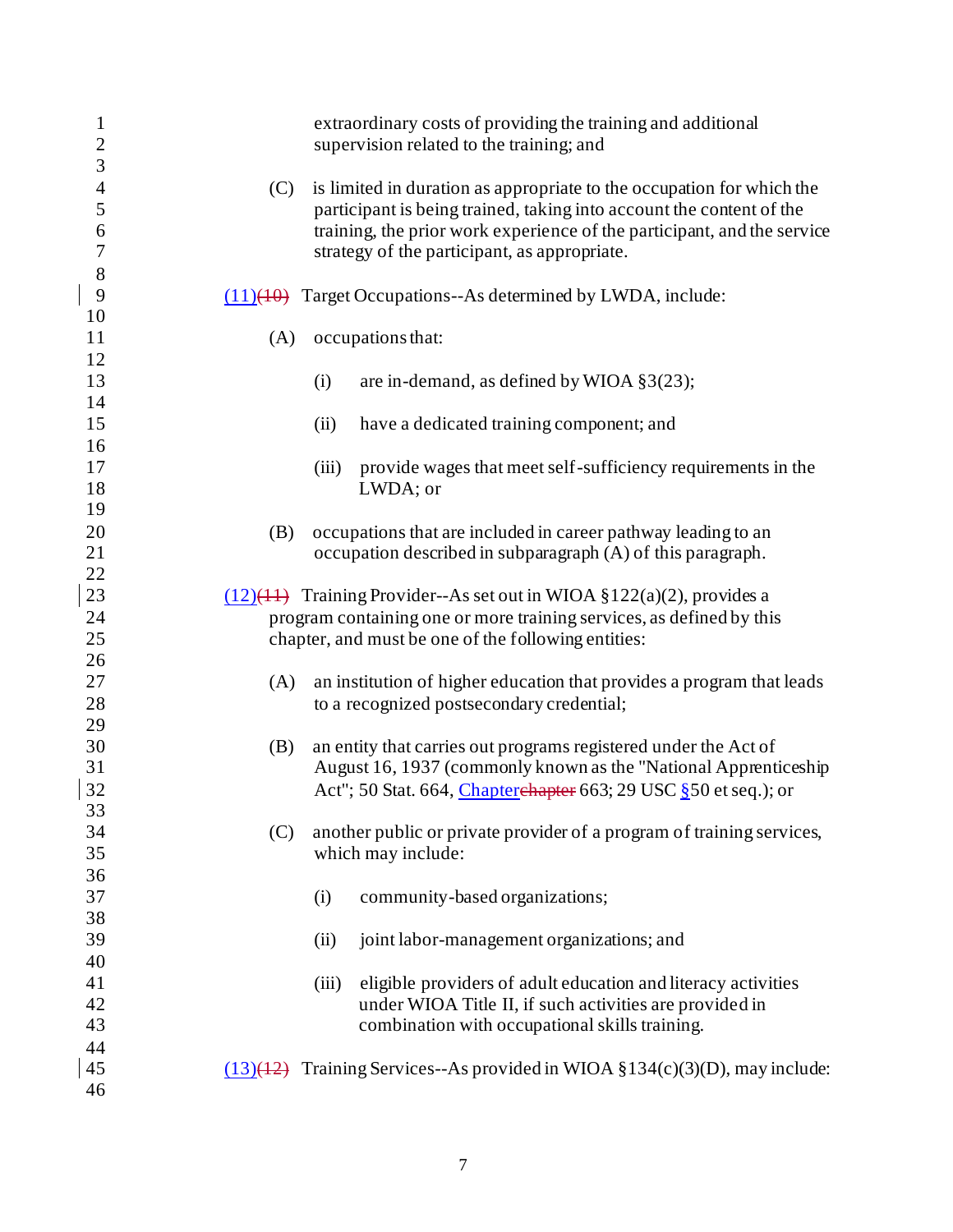| $\mathbf{1}$                               |     |       | extraordinary costs of providing the training and additional                                                                                                                                                                                                             |
|--------------------------------------------|-----|-------|--------------------------------------------------------------------------------------------------------------------------------------------------------------------------------------------------------------------------------------------------------------------------|
| $\overline{c}$<br>3                        |     |       | supervision related to the training; and                                                                                                                                                                                                                                 |
| $\overline{4}$<br>5<br>6<br>$\overline{7}$ | (C) |       | is limited in duration as appropriate to the occupation for which the<br>participant is being trained, taking into account the content of the<br>training, the prior work experience of the participant, and the service<br>strategy of the participant, as appropriate. |
| 8<br>9<br>10                               |     |       | $(11)(40)$ Target Occupations--As determined by LWDA, include:                                                                                                                                                                                                           |
| 11<br>12                                   | (A) |       | occupations that:                                                                                                                                                                                                                                                        |
| 13<br>14                                   |     | (i)   | are in-demand, as defined by WIOA $\S3(23)$ ;                                                                                                                                                                                                                            |
| 15<br>16                                   |     | (ii)  | have a dedicated training component; and                                                                                                                                                                                                                                 |
| 17<br>18<br>19                             |     | (iii) | provide wages that meet self-sufficiency requirements in the<br>LWDA; or                                                                                                                                                                                                 |
| 20<br>21<br>22                             | (B) |       | occupations that are included in career pathway leading to an<br>occupation described in subparagraph (A) of this paragraph.                                                                                                                                             |
| 23                                         |     |       | $(12)(11)$ Training Provider--As set out in WIOA §122(a)(2), provides a                                                                                                                                                                                                  |
| 24<br>25                                   |     |       | program containing one or more training services, as defined by this<br>chapter, and must be one of the following entities:                                                                                                                                              |
| 26<br>27                                   | (A) |       | an institution of higher education that provides a program that leads                                                                                                                                                                                                    |
| 28<br>29                                   |     |       | to a recognized postsecondary credential;                                                                                                                                                                                                                                |
| 30<br>31<br>32                             | (B) |       | an entity that carries out programs registered under the Act of<br>August 16, 1937 (commonly known as the "National Apprenticeship<br>Act"; 50 Stat. 664, Chapterehapter 663; 29 USC § 50 et seq.); or                                                                   |
| 33<br>34<br>35                             | (C) |       | another public or private provider of a program of training services,<br>which may include:                                                                                                                                                                              |
| 36<br>37<br>38                             |     | (i)   | community-based organizations;                                                                                                                                                                                                                                           |
| 39<br>40                                   |     | (ii)  | joint labor-management organizations; and                                                                                                                                                                                                                                |
| 41<br>42<br>43                             |     | (iii) | eligible providers of adult education and literacy activities<br>under WIOA Title II, if such activities are provided in<br>combination with occupational skills training.                                                                                               |
| 44<br>45<br>46                             |     |       | $(13)(12)$ Training Services--As provided in WIOA §134(c)(3)(D), may include:                                                                                                                                                                                            |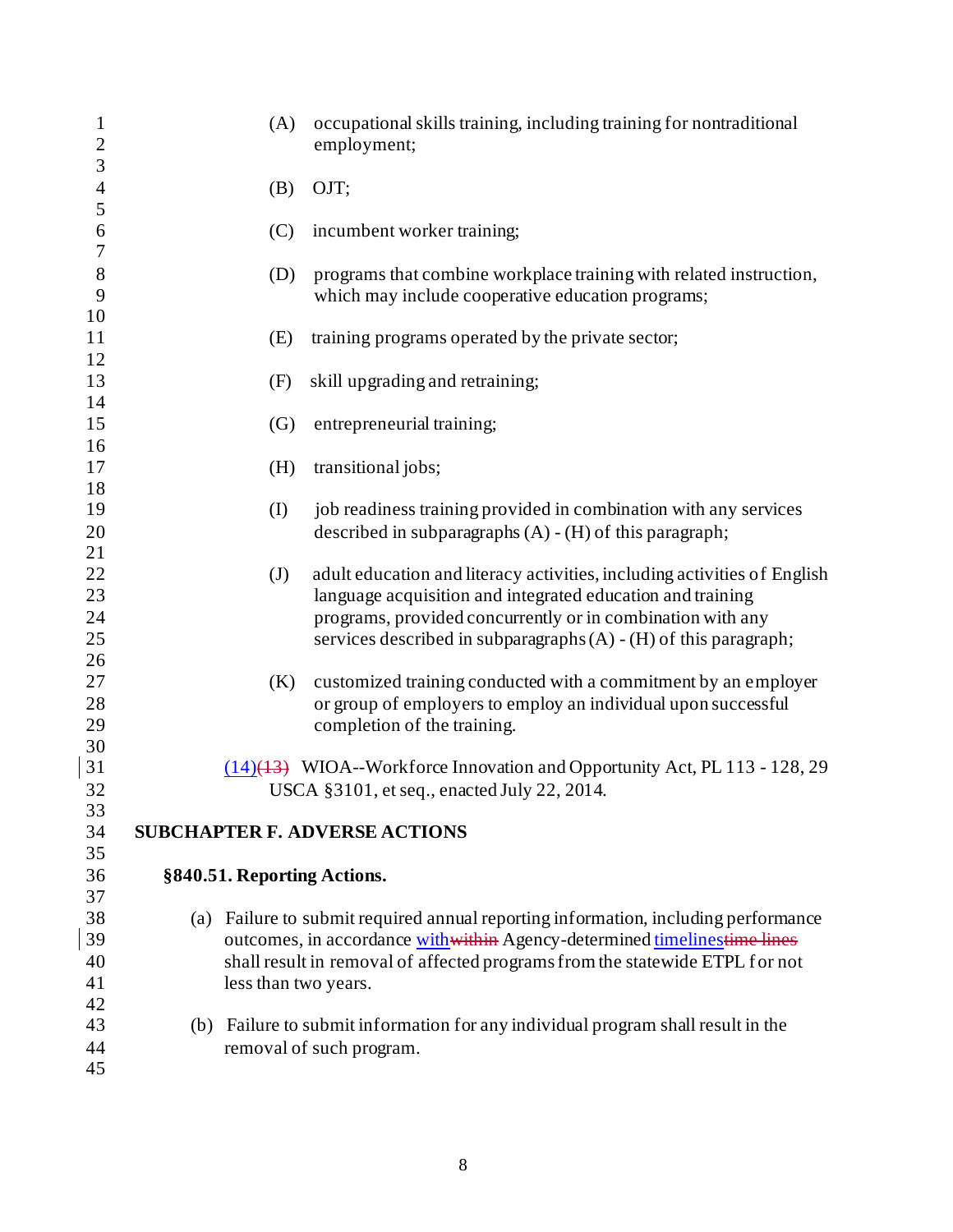| $\mathbf{1}$<br>$\overline{2}$ | (A)                                  | occupational skills training, including training for nontraditional<br>employment;                                                                          |
|--------------------------------|--------------------------------------|-------------------------------------------------------------------------------------------------------------------------------------------------------------|
| 3                              |                                      |                                                                                                                                                             |
| $\overline{4}$                 | (B)                                  | OJT;                                                                                                                                                        |
| 5                              |                                      |                                                                                                                                                             |
| 6                              | (C)                                  | incumbent worker training;                                                                                                                                  |
| $\sqrt{ }$                     |                                      |                                                                                                                                                             |
| $\,8\,$                        | (D)                                  | programs that combine workplace training with related instruction,                                                                                          |
| 9                              |                                      | which may include cooperative education programs;                                                                                                           |
| 10                             |                                      |                                                                                                                                                             |
| 11                             | (E)                                  | training programs operated by the private sector;                                                                                                           |
| 12                             |                                      |                                                                                                                                                             |
| 13<br>14                       | (F)                                  | skill upgrading and retraining;                                                                                                                             |
| 15                             | (G)                                  | entrepreneurial training;                                                                                                                                   |
| 16                             |                                      |                                                                                                                                                             |
| 17                             | (H)                                  | transitional jobs;                                                                                                                                          |
| 18                             |                                      |                                                                                                                                                             |
| 19                             | (I)                                  | job readiness training provided in combination with any services                                                                                            |
| 20                             |                                      | described in subparagraphs $(A) - (H)$ of this paragraph;                                                                                                   |
| 21                             |                                      |                                                                                                                                                             |
| 22                             | (J)                                  | adult education and literacy activities, including activities of English                                                                                    |
| 23                             |                                      | language acquisition and integrated education and training                                                                                                  |
| 24                             |                                      | programs, provided concurrently or in combination with any                                                                                                  |
| 25                             |                                      | services described in subparagraphs $(A) - (H)$ of this paragraph;                                                                                          |
| 26                             |                                      |                                                                                                                                                             |
| 27                             | (K)                                  | customized training conducted with a commitment by an employer                                                                                              |
| 28                             |                                      | or group of employers to employ an individual upon successful                                                                                               |
| 29                             |                                      | completion of the training.                                                                                                                                 |
| 30                             |                                      |                                                                                                                                                             |
| 31                             |                                      | $(14)(13)$ WIOA--Workforce Innovation and Opportunity Act, PL 113 - 128, 29                                                                                 |
| 32                             |                                      | USCA §3101, et seq., enacted July 22, 2014.                                                                                                                 |
| 33                             |                                      |                                                                                                                                                             |
| 34                             | <b>SUBCHAPTER F. ADVERSE ACTIONS</b> |                                                                                                                                                             |
| 35                             |                                      |                                                                                                                                                             |
| 36                             | §840.51. Reporting Actions.          |                                                                                                                                                             |
| 37                             |                                      |                                                                                                                                                             |
| 38<br>39                       | (a)                                  | Failure to submit required annual reporting information, including performance<br>outcomes, in accordance with within Agency-determined timelinestime lines |
| 40                             |                                      | shall result in removal of affected programs from the statewide ETPL for not                                                                                |
| 41                             | less than two years.                 |                                                                                                                                                             |
| 42                             |                                      |                                                                                                                                                             |
| 43                             |                                      | (b) Failure to submit information for any individual program shall result in the                                                                            |
| 44                             |                                      | removal of such program.                                                                                                                                    |
| 45                             |                                      |                                                                                                                                                             |
|                                |                                      |                                                                                                                                                             |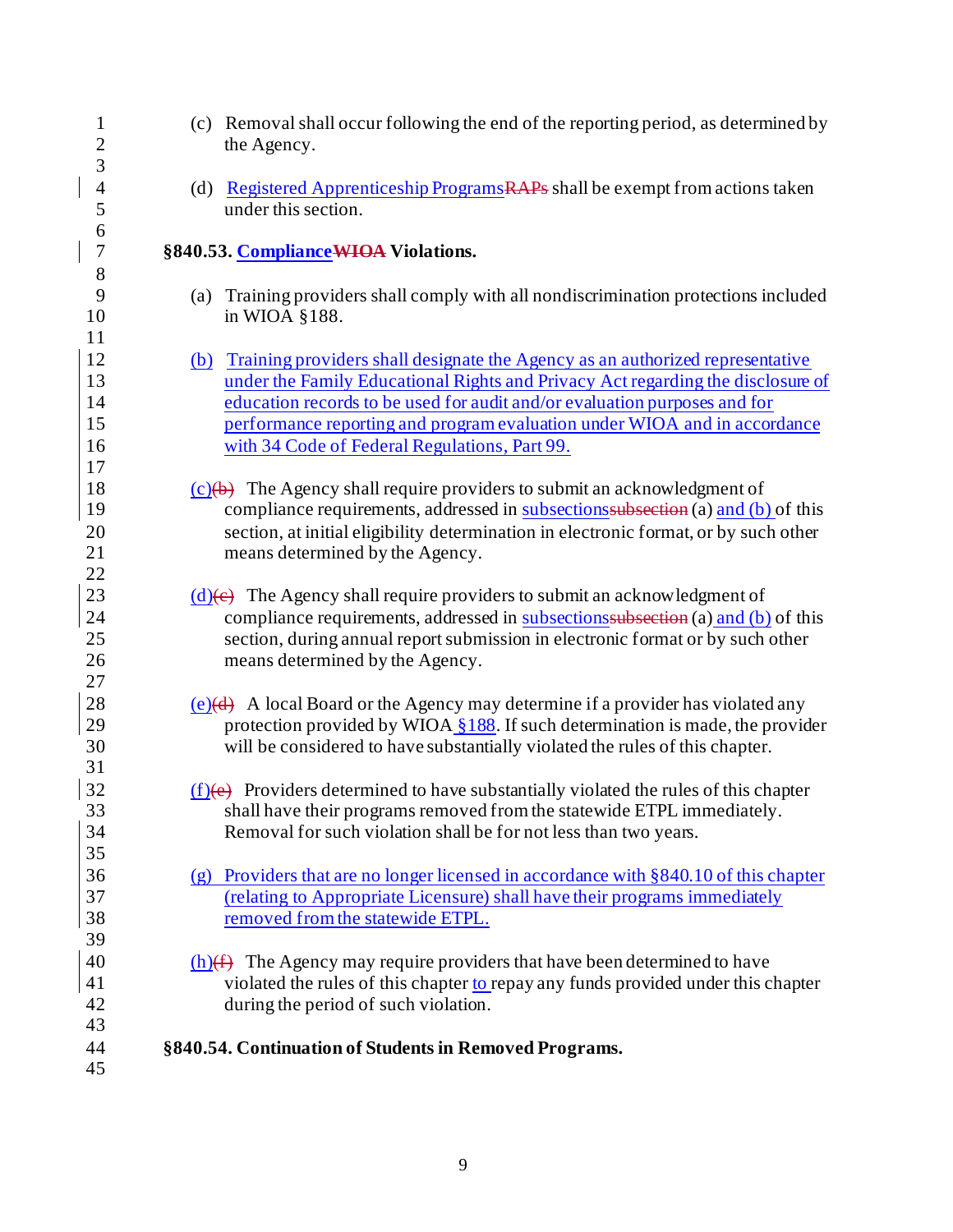| $\mathbf{1}$<br>$\overline{c}$ |     | (c) Removal shall occur following the end of the reporting period, as determined by<br>the Agency. |
|--------------------------------|-----|----------------------------------------------------------------------------------------------------|
| 3                              |     |                                                                                                    |
| $\overline{4}$                 |     | (d) Registered Apprenticeship Programs RAPs shall be exempt from actions taken                     |
| 5                              |     | under this section.                                                                                |
| 6                              |     |                                                                                                    |
| $\sqrt{ }$                     |     | §840.53. Compliance WIOA Violations.                                                               |
| $8\,$                          |     |                                                                                                    |
| 9                              | (a) | Training providers shall comply with all nondiscrimination protections included                    |
| 10                             |     | in WIOA §188.                                                                                      |
| 11                             |     |                                                                                                    |
| 12                             |     | (b) Training providers shall designate the Agency as an authorized representative                  |
| 13                             |     | under the Family Educational Rights and Privacy Act regarding the disclosure of                    |
| 14                             |     | education records to be used for audit and/or evaluation purposes and for                          |
| 15                             |     | performance reporting and program evaluation under WIOA and in accordance                          |
| 16                             |     | with 34 Code of Federal Regulations, Part 99.                                                      |
| 17                             |     |                                                                                                    |
| 18                             |     | $(c)(b)$ The Agency shall require providers to submit an acknowledgment of                         |
| 19                             |     | compliance requirements, addressed in subsections subsection (a) and (b) of this                   |
| 20                             |     | section, at initial eligibility determination in electronic format, or by such other               |
| 21                             |     | means determined by the Agency.                                                                    |
| 22                             |     |                                                                                                    |
| 23                             |     | $(d)$ (e) The Agency shall require providers to submit an acknowledgment of                        |
| 24                             |     | compliance requirements, addressed in subsections subsection (a) and (b) of this                   |
| 25                             |     | section, during annual report submission in electronic format or by such other                     |
| 26                             |     | means determined by the Agency.                                                                    |
| 27                             |     |                                                                                                    |
| 28                             |     | $(e)(d)$ A local Board or the Agency may determine if a provider has violated any                  |
| 29                             |     | protection provided by WIOA §188. If such determination is made, the provider                      |
| 30                             |     | will be considered to have substantially violated the rules of this chapter.                       |
| 31                             |     |                                                                                                    |
| 32                             |     | $(f)(e)$ Providers determined to have substantially violated the rules of this chapter             |
| 33                             |     | shall have their programs removed from the statewide ETPL immediately.                             |
| 34                             |     | Removal for such violation shall be for not less than two years.                                   |
| 35                             |     |                                                                                                    |
| 36                             |     | (g) Providers that are no longer licensed in accordance with $§ 840.10$ of this chapter            |
| 37                             |     | (relating to Appropriate Licensure) shall have their programs immediately                          |
| 38                             |     | removed from the statewide ETPL.                                                                   |
| 39                             |     |                                                                                                    |
| 40                             |     | $(h)$ The Agency may require providers that have been determined to have                           |
| 41                             |     | violated the rules of this chapter to repay any funds provided under this chapter                  |
| 42                             |     | during the period of such violation.                                                               |
| 43                             |     |                                                                                                    |
| 44                             |     | §840.54. Continuation of Students in Removed Programs.                                             |
| 45                             |     |                                                                                                    |